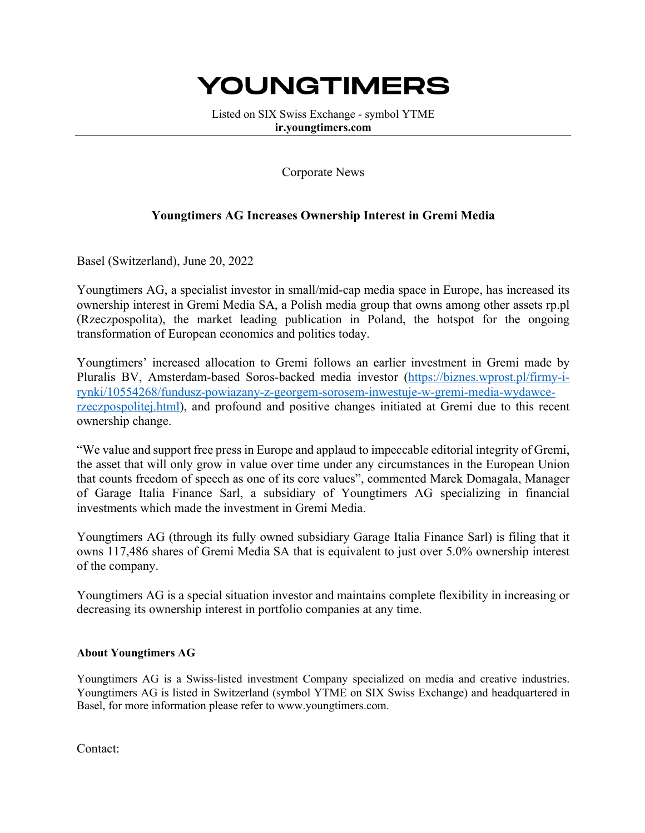## YOUNGTIMERS

Listed on SIX Swiss Exchange - symbol YTME **ir.youngtimers.com**

Corporate News

## **Youngtimers AG Increases Ownership Interest in Gremi Media**

Basel (Switzerland), June 20, 2022

Youngtimers AG, a specialist investor in small/mid-cap media space in Europe, has increased its ownership interest in Gremi Media SA, a Polish media group that owns among other assets rp.pl (Rzeczpospolita), the market leading publication in Poland, the hotspot for the ongoing transformation of European economics and politics today.

Youngtimers' increased allocation to Gremi follows an earlier investment in Gremi made by Pluralis BV, Amsterdam-based Soros-backed media investor (https://biznes.wprost.pl/firmy-irynki/10554268/fundusz-powiazany-z-georgem-sorosem-inwestuje-w-gremi-media-wydawcerzeczpospolitej.html), and profound and positive changes initiated at Gremi due to this recent ownership change.

"We value and support free press in Europe and applaud to impeccable editorial integrity of Gremi, the asset that will only grow in value over time under any circumstances in the European Union that counts freedom of speech as one of its core values", commented Marek Domagala, Manager of Garage Italia Finance Sarl, a subsidiary of Youngtimers AG specializing in financial investments which made the investment in Gremi Media.

Youngtimers AG (through its fully owned subsidiary Garage Italia Finance Sarl) is filing that it owns 117,486 shares of Gremi Media SA that is equivalent to just over 5.0% ownership interest of the company.

Youngtimers AG is a special situation investor and maintains complete flexibility in increasing or decreasing its ownership interest in portfolio companies at any time.

## **About Youngtimers AG**

Youngtimers AG is a Swiss-listed investment Company specialized on media and creative industries. Youngtimers AG is listed in Switzerland (symbol YTME on SIX Swiss Exchange) and headquartered in Basel, for more information please refer to www.youngtimers.com.

Contact: